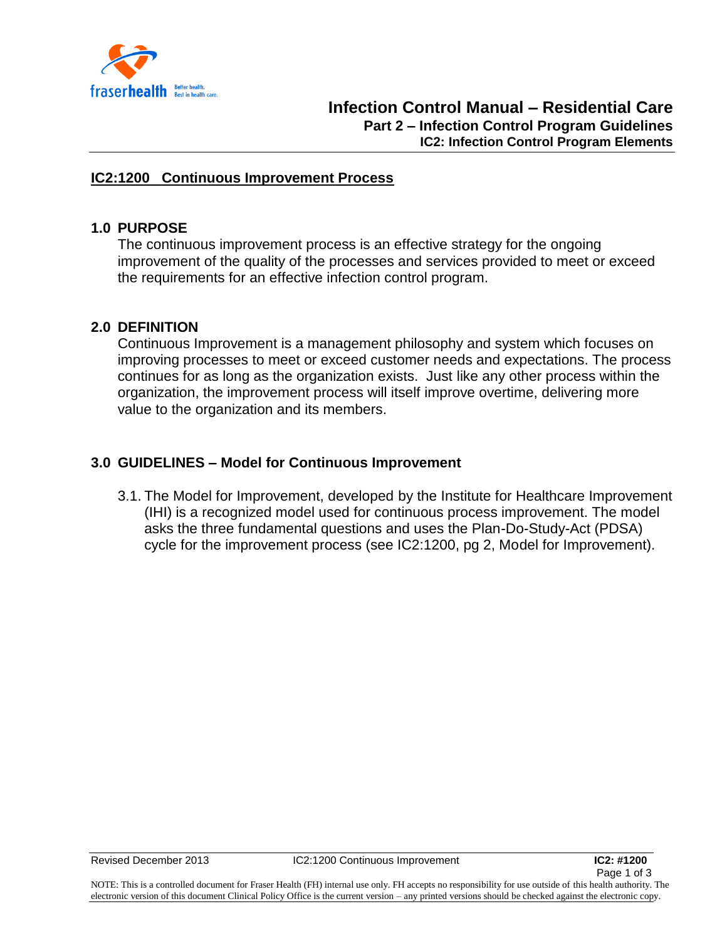

#### **IC2:1200 Continuous Improvement Process**

### **1.0 PURPOSE**

The continuous improvement process is an effective strategy for the ongoing improvement of the quality of the processes and services provided to meet or exceed the requirements for an effective infection control program.

#### **2.0 DEFINITION**

Continuous Improvement is a management philosophy and system which focuses on improving processes to meet or exceed customer needs and expectations. The process continues for as long as the organization exists. Just like any other process within the organization, the improvement process will itself improve overtime, delivering more value to the organization and its members.

## **3.0 GUIDELINES – Model for Continuous Improvement**

3.1. The Model for Improvement, developed by the Institute for Healthcare Improvement (IHI) is a recognized model used for continuous process improvement. The model asks the three fundamental questions and uses the Plan-Do-Study-Act (PDSA) cycle for the improvement process (see IC2:1200, pg 2, Model for Improvement).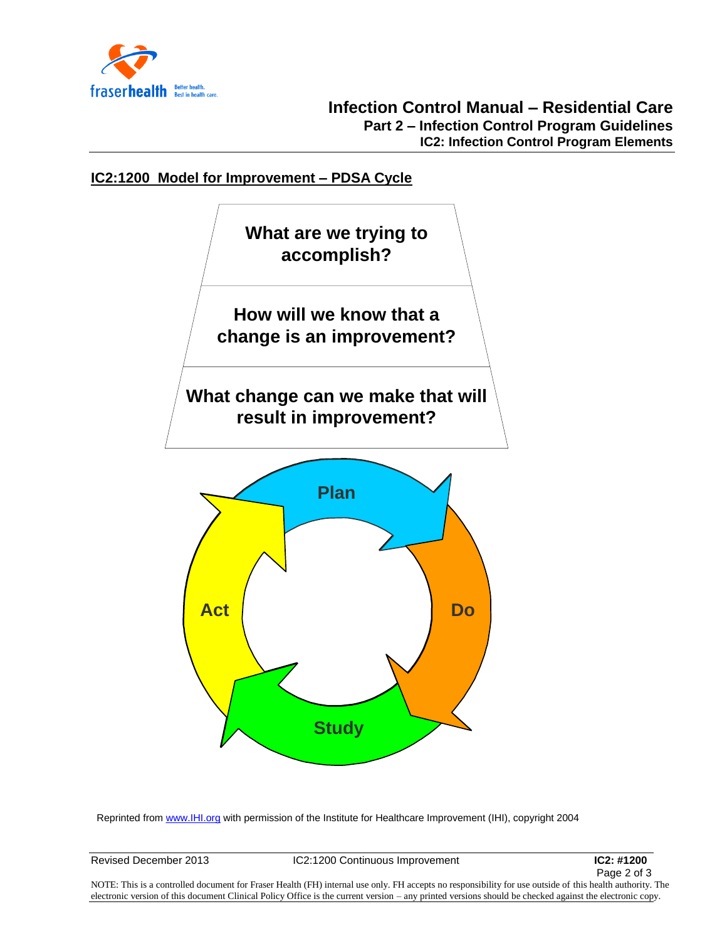

# **Infection Control Manual – Residential Care Part 2 – Infection Control Program Guidelines IC2: Infection Control Program Elements**

## **IC2:1200 Model for Improvement – PDSA Cycle**



Reprinted from www.IHI.org with permission of the Institute for Healthcare Improvement (IHI), copyright 2004

Revised December 2013 IC2:1200 Continuous Improvement **IC2: #1200** 

Page 2 of 3

NOTE: This is a controlled document for Fraser Health (FH) internal use only. FH accepts no responsibility for use outside of this health authority. The electronic version of this document Clinical Policy Office is the current version – any printed versions should be checked against the electronic copy.